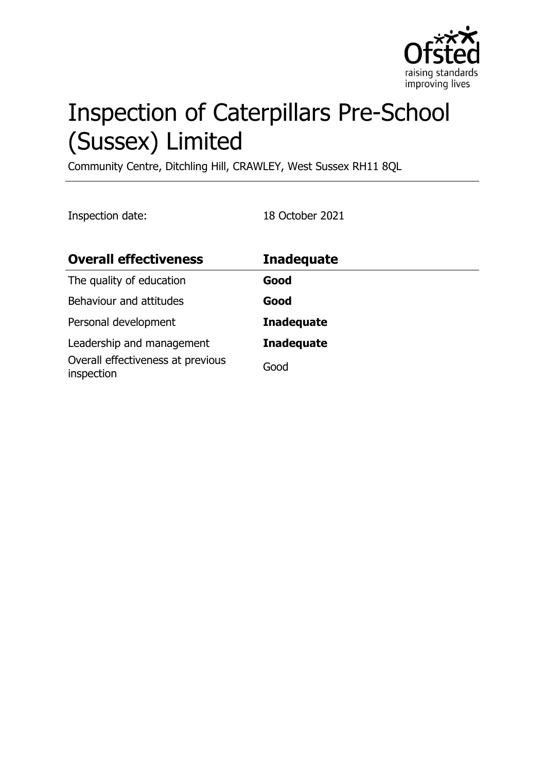

# Inspection of Caterpillars Pre-School (Sussex) Limited

Community Centre, Ditchling Hill, CRAWLEY, West Sussex RH11 8QL

Inspection date: 18 October 2021

| <b>Overall effectiveness</b>                    | <b>Inadequate</b> |
|-------------------------------------------------|-------------------|
| The quality of education                        | Good              |
| Behaviour and attitudes                         | Good              |
| Personal development                            | <b>Inadequate</b> |
| Leadership and management                       | <b>Inadequate</b> |
| Overall effectiveness at previous<br>inspection | Good              |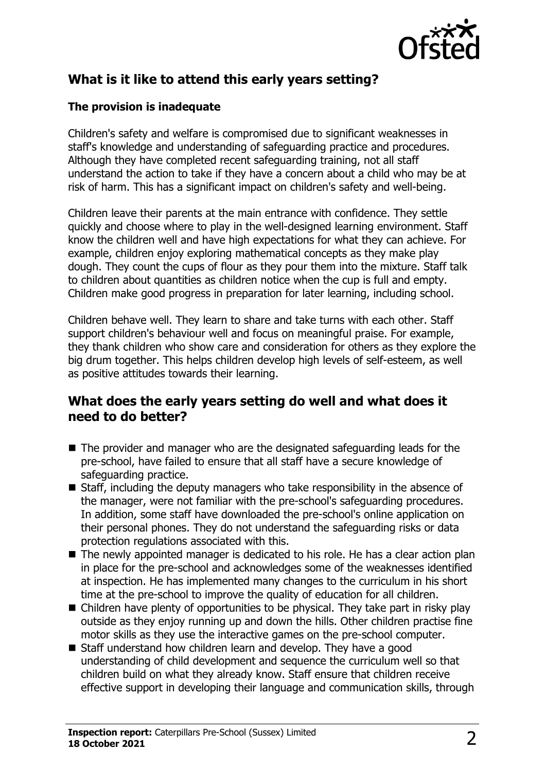

# **What is it like to attend this early years setting?**

#### **The provision is inadequate**

Children's safety and welfare is compromised due to significant weaknesses in staff's knowledge and understanding of safeguarding practice and procedures. Although they have completed recent safeguarding training, not all staff understand the action to take if they have a concern about a child who may be at risk of harm. This has a significant impact on children's safety and well-being.

Children leave their parents at the main entrance with confidence. They settle quickly and choose where to play in the well-designed learning environment. Staff know the children well and have high expectations for what they can achieve. For example, children enjoy exploring mathematical concepts as they make play dough. They count the cups of flour as they pour them into the mixture. Staff talk to children about quantities as children notice when the cup is full and empty. Children make good progress in preparation for later learning, including school.

Children behave well. They learn to share and take turns with each other. Staff support children's behaviour well and focus on meaningful praise. For example, they thank children who show care and consideration for others as they explore the big drum together. This helps children develop high levels of self-esteem, as well as positive attitudes towards their learning.

### **What does the early years setting do well and what does it need to do better?**

- $\blacksquare$  The provider and manager who are the designated safeguarding leads for the pre-school, have failed to ensure that all staff have a secure knowledge of safeguarding practice.
- $\blacksquare$  Staff, including the deputy managers who take responsibility in the absence of the manager, were not familiar with the pre-school's safeguarding procedures. In addition, some staff have downloaded the pre-school's online application on their personal phones. They do not understand the safeguarding risks or data protection regulations associated with this.
- $\blacksquare$  The newly appointed manager is dedicated to his role. He has a clear action plan in place for the pre-school and acknowledges some of the weaknesses identified at inspection. He has implemented many changes to the curriculum in his short time at the pre-school to improve the quality of education for all children.
- $\blacksquare$  Children have plenty of opportunities to be physical. They take part in risky play outside as they enjoy running up and down the hills. Other children practise fine motor skills as they use the interactive games on the pre-school computer.
- $\blacksquare$  Staff understand how children learn and develop. They have a good understanding of child development and sequence the curriculum well so that children build on what they already know. Staff ensure that children receive effective support in developing their language and communication skills, through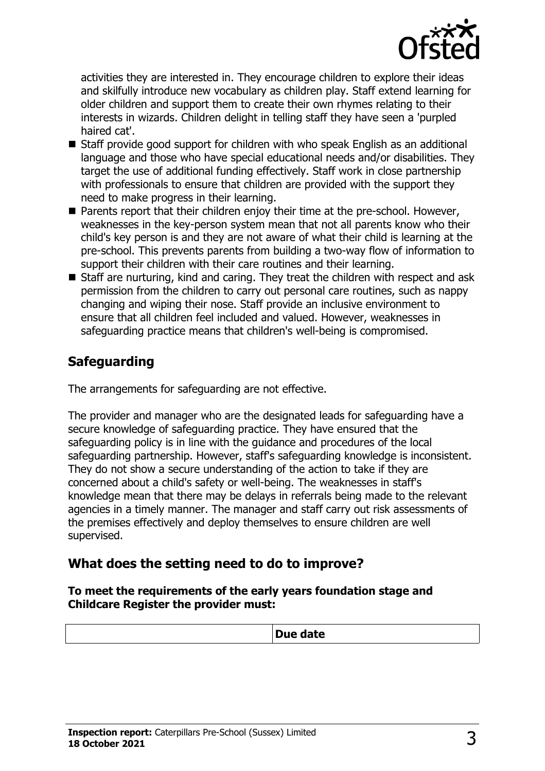

activities they are interested in. They encourage children to explore their ideas and skilfully introduce new vocabulary as children play. Staff extend learning for older children and support them to create their own rhymes relating to their interests in wizards. Children delight in telling staff they have seen a 'purpled haired cat'.

- Staff provide good support for children with who speak English as an additional language and those who have special educational needs and/or disabilities. They target the use of additional funding effectively. Staff work in close partnership with professionals to ensure that children are provided with the support they need to make progress in their learning.
- $\blacksquare$  Parents report that their children enjoy their time at the pre-school. However, weaknesses in the key-person system mean that not all parents know who their child's key person is and they are not aware of what their child is learning at the pre-school. This prevents parents from building a two-way flow of information to support their children with their care routines and their learning.
- $\blacksquare$  Staff are nurturing, kind and caring. They treat the children with respect and ask permission from the children to carry out personal care routines, such as nappy changing and wiping their nose. Staff provide an inclusive environment to ensure that all children feel included and valued. However, weaknesses in safeguarding practice means that children's well-being is compromised.

# **Safeguarding**

The arrangements for safeguarding are not effective.

The provider and manager who are the designated leads for safeguarding have a secure knowledge of safeguarding practice. They have ensured that the safeguarding policy is in line with the guidance and procedures of the local safeguarding partnership. However, staff's safeguarding knowledge is inconsistent. They do not show a secure understanding of the action to take if they are concerned about a child's safety or well-being. The weaknesses in staff's knowledge mean that there may be delays in referrals being made to the relevant agencies in a timely manner. The manager and staff carry out risk assessments of the premises effectively and deploy themselves to ensure children are well supervised.

# **What does the setting need to do to improve?**

**To meet the requirements of the early years foundation stage and Childcare Register the provider must:**

| .<br>$-$<br>- -<br><b>Due date</b> |
|------------------------------------|
|                                    |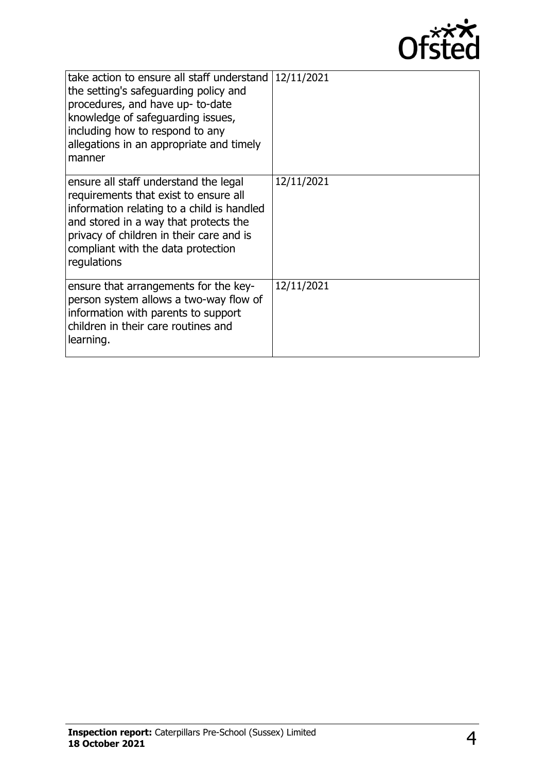

| take action to ensure all staff understand<br>the setting's safeguarding policy and<br>procedures, and have up-to-date<br>knowledge of safeguarding issues,<br>including how to respond to any<br>allegations in an appropriate and timely<br>manner                   | 12/11/2021 |
|------------------------------------------------------------------------------------------------------------------------------------------------------------------------------------------------------------------------------------------------------------------------|------------|
| ensure all staff understand the legal<br>requirements that exist to ensure all<br>information relating to a child is handled<br>and stored in a way that protects the<br>privacy of children in their care and is<br>compliant with the data protection<br>regulations | 12/11/2021 |
| ensure that arrangements for the key-<br>person system allows a two-way flow of<br>information with parents to support<br>children in their care routines and<br>learning.                                                                                             | 12/11/2021 |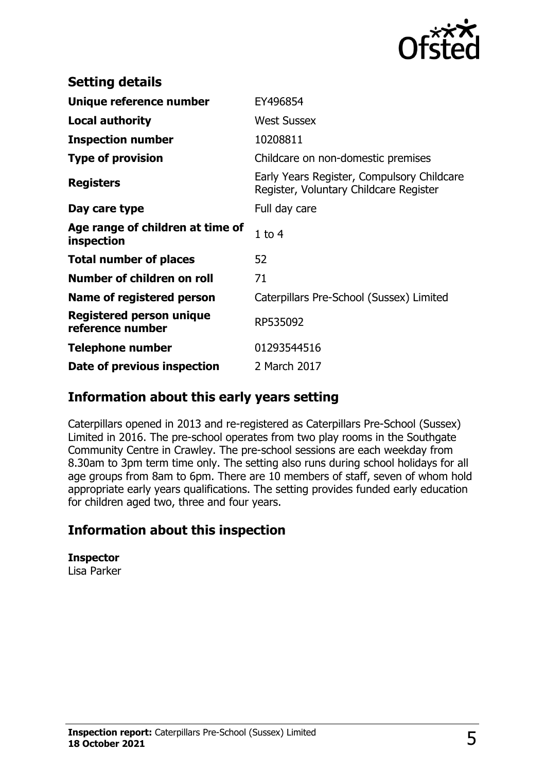

| <b>Setting details</b>                         |                                                                                      |
|------------------------------------------------|--------------------------------------------------------------------------------------|
| Unique reference number                        | EY496854                                                                             |
| <b>Local authority</b>                         | <b>West Sussex</b>                                                                   |
| <b>Inspection number</b>                       | 10208811                                                                             |
| <b>Type of provision</b>                       | Childcare on non-domestic premises                                                   |
| <b>Registers</b>                               | Early Years Register, Compulsory Childcare<br>Register, Voluntary Childcare Register |
| Day care type                                  | Full day care                                                                        |
| Age range of children at time of<br>inspection | $1$ to $4$                                                                           |
| <b>Total number of places</b>                  | 52                                                                                   |
| Number of children on roll                     | 71                                                                                   |
| Name of registered person                      | Caterpillars Pre-School (Sussex) Limited                                             |
| Registered person unique<br>reference number   | RP535092                                                                             |
| <b>Telephone number</b>                        | 01293544516                                                                          |
| Date of previous inspection                    | 2 March 2017                                                                         |

# **Information about this early years setting**

Caterpillars opened in 2013 and re-registered as Caterpillars Pre-School (Sussex) Limited in 2016. The pre-school operates from two play rooms in the Southgate Community Centre in Crawley. The pre-school sessions are each weekday from 8.30am to 3pm term time only. The setting also runs during school holidays for all age groups from 8am to 6pm. There are 10 members of staff, seven of whom hold appropriate early years qualifications. The setting provides funded early education for children aged two, three and four years.

# **Information about this inspection**

**Inspector** Lisa Parker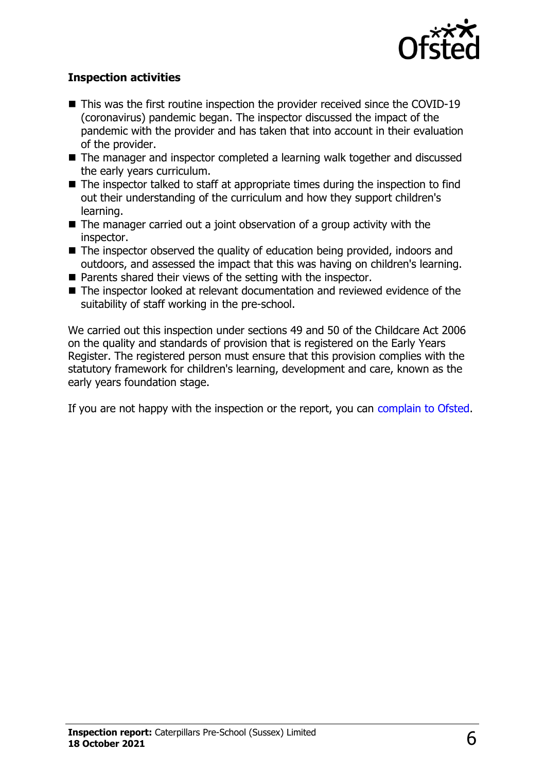

#### **Inspection activities**

- $\blacksquare$  This was the first routine inspection the provider received since the COVID-19 (coronavirus) pandemic began. The inspector discussed the impact of the pandemic with the provider and has taken that into account in their evaluation of the provider.
- The manager and inspector completed a learning walk together and discussed the early years curriculum.
- $\blacksquare$  The inspector talked to staff at appropriate times during the inspection to find out their understanding of the curriculum and how they support children's learning.
- $\blacksquare$  The manager carried out a joint observation of a group activity with the inspector.
- $\blacksquare$  The inspector observed the quality of education being provided, indoors and outdoors, and assessed the impact that this was having on children's learning.
- $\blacksquare$  Parents shared their views of the setting with the inspector.
- $\blacksquare$  The inspector looked at relevant documentation and reviewed evidence of the suitability of staff working in the pre-school.

We carried out this inspection under sections 49 and 50 of the Childcare Act 2006 on the quality and standards of provision that is registered on the Early Years Register. The registered person must ensure that this provision complies with the statutory framework for children's learning, development and care, known as the early years foundation stage.

If you are not happy with the inspection or the report, you can [complain to Ofsted](http://www.gov.uk/complain-ofsted-report).